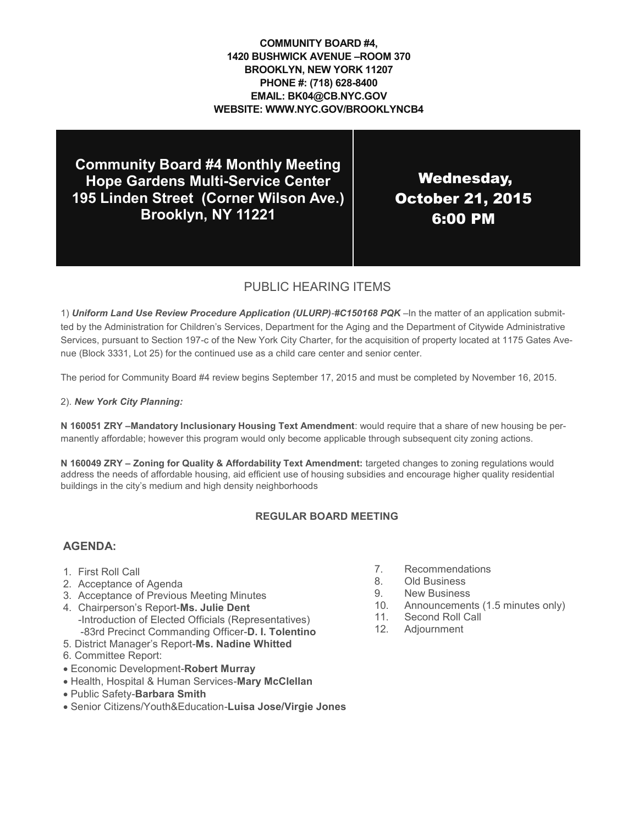**COMMUNITY BOARD #4, 1420 BUSHWICK AVENUE –ROOM 370 BROOKLYN, NEW YORK 11207 PHONE #: (718) 628-8400 EMAIL: BK04@CB.NYC.GOV WEBSITE: WWW.NYC.GOV/BROOKLYNCB4**

**Community Board #4 Monthly Meeting Hope Gardens Multi-Service Center 195 Linden Street (Corner Wilson Ave.) Brooklyn, NY 11221**

Wednesday, October 21, 2015 6:00 PM

## PUBLIC HEARING ITEMS

1) *Uniform Land Use Review Procedure Application (ULURP)-#C150168 PQK* –In the matter of an application submitted by the Administration for Children's Services, Department for the Aging and the Department of Citywide Administrative Services, pursuant to Section 197-c of the New York City Charter, for the acquisition of property located at 1175 Gates Avenue (Block 3331, Lot 25) for the continued use as a child care center and senior center.

The period for Community Board #4 review begins September 17, 2015 and must be completed by November 16, 2015.

2). *New York City Planning:*

**N 160051 ZRY –Mandatory Inclusionary Housing Text Amendment**: would require that a share of new housing be permanently affordable; however this program would only become applicable through subsequent city zoning actions.

**N 160049 ZRY – Zoning for Quality & Affordability Text Amendment:** targeted changes to zoning regulations would address the needs of affordable housing, aid efficient use of housing subsidies and encourage higher quality residential buildings in the city's medium and high density neighborhoods

#### **REGULAR BOARD MEETING**

#### **AGENDA:**

- 1. First Roll Call
- 2. Acceptance of Agenda
- 3. Acceptance of Previous Meeting Minutes
- 4. Chairperson's Report-**Ms. Julie Dent** -Introduction of Elected Officials (Representatives) -83rd Precinct Commanding Officer-**D. I. Tolentino**
- 5. District Manager's Report-**Ms. Nadine Whitted**
- 6. Committee Report:
- Economic Development-**Robert Murray**
- Health, Hospital & Human Services-**Mary McClellan**
- Public Safety-**Barbara Smith**
- Senior Citizens/Youth&Education-**Luisa Jose/Virgie Jones**
- 7. Recommendations
- 8. Old Business
- 9. New Business
- 10. Announcements (1.5 minutes only)
- 11. Second Roll Call
- 12. Adjournment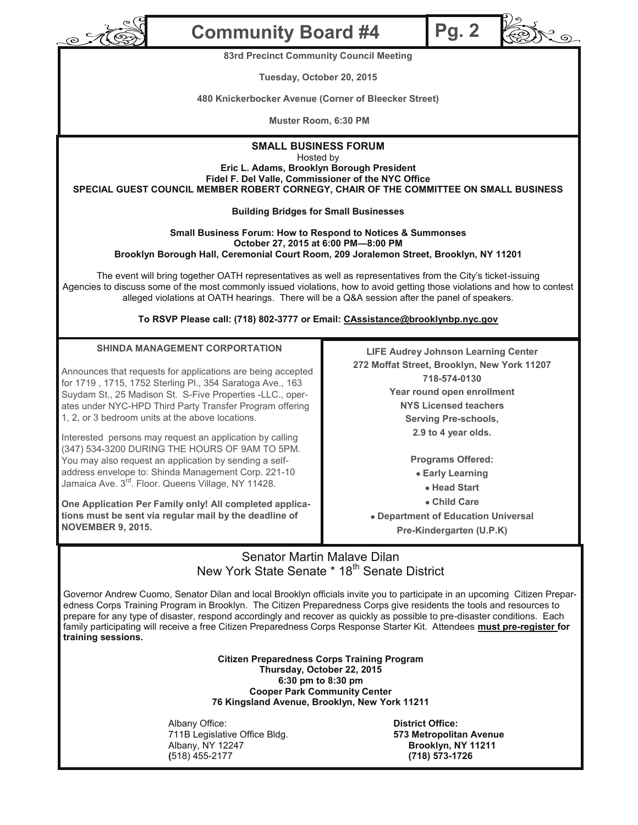

# **Community Board #4**

**83rd Precinct Community Council Meeting**

**Tuesday, October 20, 2015**

**480 Knickerbocker Avenue (Corner of Bleecker Street)** 

**Muster Room, 6:30 PM**

### **SMALL BUSINESS FORUM**

Hosted by

**Eric L. Adams, Brooklyn Borough President**

**Fidel F. Del Valle, Commissioner of the NYC Office SPECIAL GUEST COUNCIL MEMBER ROBERT CORNEGY, CHAIR OF THE COMMITTEE ON SMALL BUSINESS**

#### **Building Bridges for Small Businesses**

#### **Small Business Forum: How to Respond to Notices & Summonses October 27, 2015 at 6:00 PM—8:00 PM Brooklyn Borough Hall, Ceremonial Court Room, 209 Joralemon Street, Brooklyn, NY 11201**

The event will bring together OATH representatives as well as representatives from the City's ticket-issuing Agencies to discuss some of the most commonly issued violations, how to avoid getting those violations and how to contest alleged violations at OATH hearings. There will be a Q&A session after the panel of speakers.

**To RSVP Please call: (718) 802-3777 or Email: CAssistance@brooklynbp.nyc.gov**

#### **SHINDA MANAGEMENT CORPORTATION**

Announces that requests for applications are being accepted for 1719 , 1715, 1752 Sterling Pl., 354 Saratoga Ave., 163 Suydam St., 25 Madison St. S-Five Properties -LLC., operates under NYC-HPD Third Party Transfer Program offering 1, 2, or 3 bedroom units at the above locations.

Interested persons may request an application by calling (347) 534-3200 DURING THE HOURS OF 9AM TO 5PM. You may also request an application by sending a selfaddress envelope to: Shinda Management Corp. 221-10 Jamaica Ave. 3<sup>rd</sup>. Floor. Queens Village, NY 11428.

**One Application Per Family only! All completed applications must be sent via regular mail by the deadline of NOVEMBER 9, 2015.**

**LIFE Audrey Johnson Learning Center 272 Moffat Street, Brooklyn, New York 11207 718-574-0130 Year round open enrollment NYS Licensed teachers Serving Pre-schools, 2.9 to 4 year olds.**

**Pg. 2**

್ನೊ

**Programs Offered: Early Learning Head Start Child Care**

 **Department of Education Universal Pre-Kindergarten (U.P.K)**

## Senator Martin Malave Dilan New York State Senate \* 18<sup>th</sup> Senate District

Governor Andrew Cuomo, Senator Dilan and local Brooklyn officials invite you to participate in an upcoming Citizen Preparedness Corps Training Program in Brooklyn. The Citizen Preparedness Corps give residents the tools and resources to prepare for any type of disaster, respond accordingly and recover as quickly as possible to pre-disaster conditions. Each family participating will receive a free Citizen Preparedness Corps Response Starter Kit. Attendees **must pre-register for training sessions.**

> **Citizen Preparedness Corps Training Program Thursday, October 22, 2015 6:30 pm to 8:30 pm Cooper Park Community Center 76 Kingsland Avenue, Brooklyn, New York 11211**

Albany Office: **District Office:** 711B Legislative Office Bldg. **573 Metropolitan Avenue** Albany, NY 12247 **Brooklyn, NY 11211 (**518) 455-2177 **(718) 573-1726**